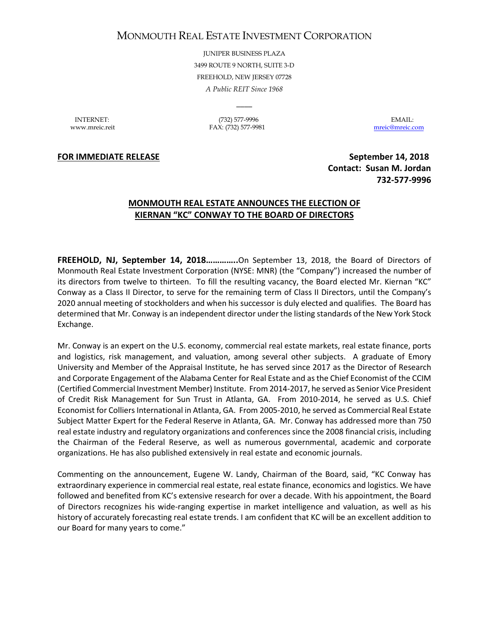## MONMOUTH REAL ESTATE INVESTMENT CORPORATION

JUNIPER BUSINESS PLAZA 3499 ROUTE 9 NORTH, SUITE 3-D FREEHOLD, NEW JERSEY 07728 *A Public REIT Since 1968*

 $\overline{\phantom{a}}$ 

INTERNET: (732) 577-9996 EMAIL: www.mreic.reit FAX: (732) 577-9981 [mreic@mreic.com](mailto:mreic@mreic.com)

**FOR IMMEDIATE RELEASE September 14, 2018** 

 **Contact: Susan M. Jordan 732-577-9996**

## **MONMOUTH REAL ESTATE ANNOUNCES THE ELECTION OF KIERNAN "KC" CONWAY TO THE BOARD OF DIRECTORS**

**FREEHOLD, NJ, September 14, 2018…………..**On September 13, 2018, the Board of Directors of Monmouth Real Estate Investment Corporation (NYSE: MNR) (the "Company") increased the number of its directors from twelve to thirteen. To fill the resulting vacancy, the Board elected Mr. Kiernan "KC" Conway as a Class II Director, to serve for the remaining term of Class II Directors, until the Company's 2020 annual meeting of stockholders and when his successor is duly elected and qualifies. The Board has determined that Mr. Conway is an independent director under the listing standards of the New York Stock Exchange.

Mr. Conway is an expert on the U.S. economy, commercial real estate markets, real estate finance, ports and logistics, risk management, and valuation, among several other subjects. A graduate of Emory University and Member of the Appraisal Institute, he has served since 2017 as the Director of Research and Corporate Engagement of the Alabama Center for Real Estate and as the Chief Economist of the CCIM (Certified Commercial Investment Member) Institute. From 2014-2017, he served as Senior Vice President of Credit Risk Management for Sun Trust in Atlanta, GA. From 2010-2014, he served as U.S. Chief Economist for Colliers International in Atlanta, GA. From 2005-2010, he served as Commercial Real Estate Subject Matter Expert for the Federal Reserve in Atlanta, GA. Mr. Conway has addressed more than 750 real estate industry and regulatory organizations and conferences since the 2008 financial crisis, including the Chairman of the Federal Reserve, as well as numerous governmental, academic and corporate organizations. He has also published extensively in real estate and economic journals.

Commenting on the announcement, Eugene W. Landy, Chairman of the Board, said, "KC Conway has extraordinary experience in commercial real estate, real estate finance, economics and logistics. We have followed and benefited from KC's extensive research for over a decade. With his appointment, the Board of Directors recognizes his wide-ranging expertise in market intelligence and valuation, as well as his history of accurately forecasting real estate trends. I am confident that KC will be an excellent addition to our Board for many years to come."